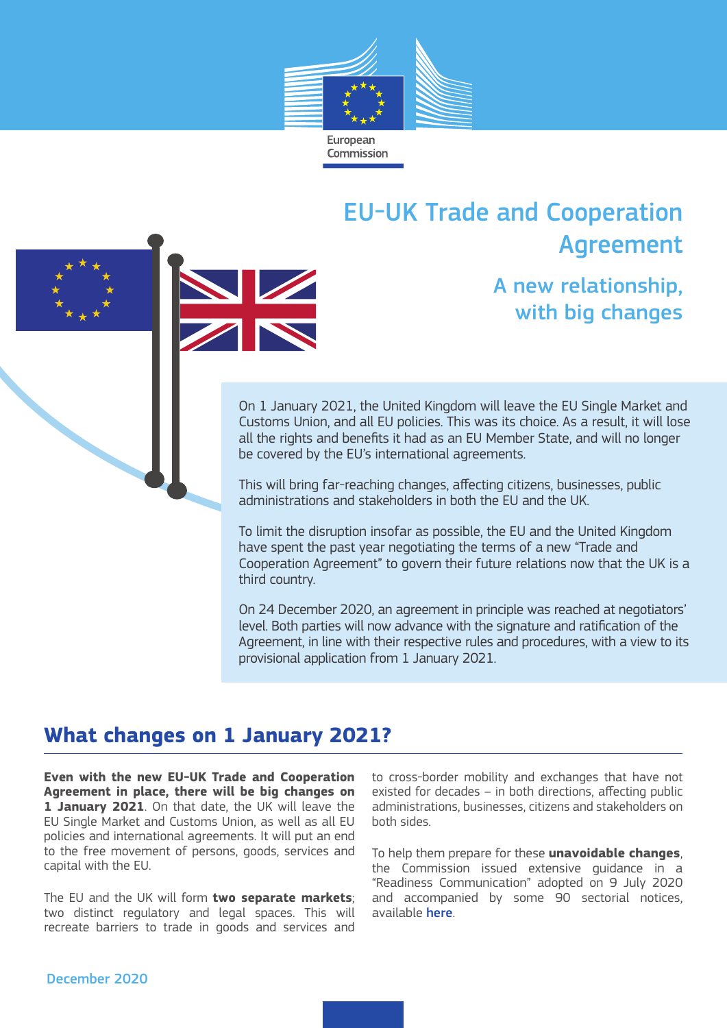

# EU-UK Trade and Cooperation Agreement





A new relationship, with big changes

On 1 January 2021, the United Kingdom will leave the EU Single Market and Customs Union, and all EU policies. This was its choice. As a result, it will lose all the rights and benefits it had as an EU Member State, and will no longer be covered by the EU's international agreements.

This will bring far-reaching changes, affecting citizens, businesses, public administrations and stakeholders in both the EU and the UK.

To limit the disruption insofar as possible, the EU and the United Kingdom have spent the past year negotiating the terms of a new "Trade and Cooperation Agreement" to govern their future relations now that the UK is a third country.

On 24 December 2020, an agreement in principle was reached at negotiators' level. Both parties will now advance with the signature and ratification of the Agreement, in line with their respective rules and procedures, with a view to its provisional application from 1 January 2021.

### **What changes on 1 January 2021?**

**Even with the new EU-UK Trade and Cooperation Agreement in place, there will be big changes on 1 January 2021**. On that date, the UK will leave the EU Single Market and Customs Union, as well as all EU policies and international agreements. It will put an end to the free movement of persons, goods, services and capital with the EU.

The EU and the UK will form **two separate markets**; two distinct regulatory and legal spaces. This will recreate barriers to trade in goods and services and to cross-border mobility and exchanges that have not existed for decades – in both directions, affecting public administrations, businesses, citizens and stakeholders on both sides.

To help them prepare for these **unavoidable changes**, the Commission issued extensive guidance in a "Readiness Communication" adopted on 9 July 2020 and accompanied by some 90 sectorial notices, available here.

#### December 2020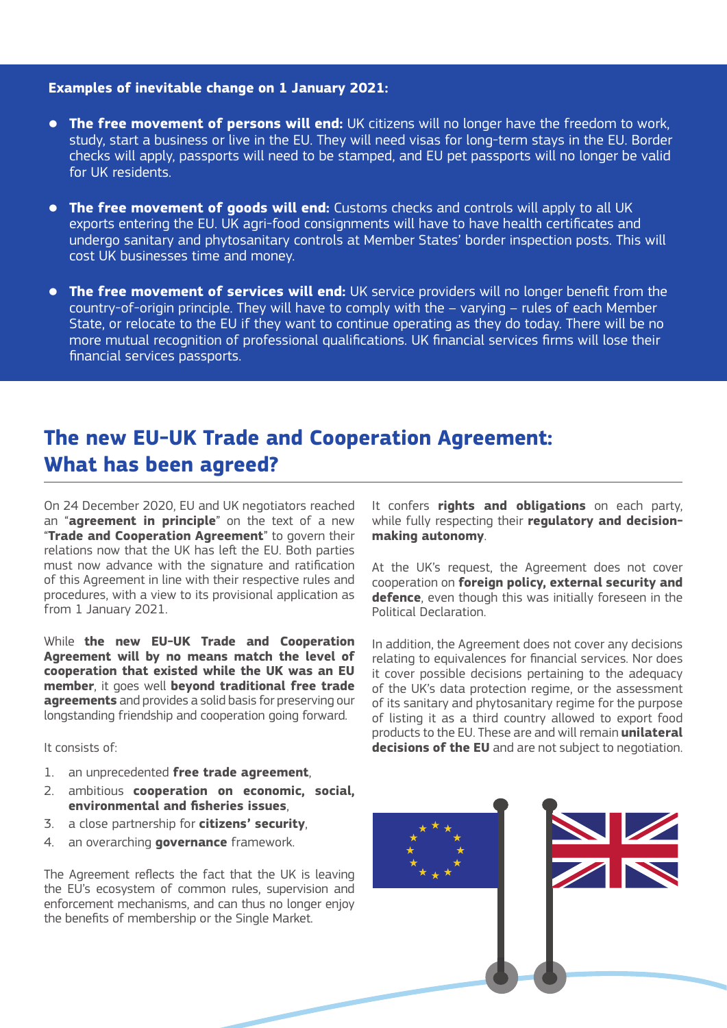#### **Examples of inevitable change on 1 January 2021:**

- **The free movement of persons will end:** UK citizens will no longer have the freedom to work, study, start a business or live in the EU. They will need visas for long-term stays in the EU. Border checks will apply, passports will need to be stamped, and EU pet passports will no longer be valid for UK residents.
- **The free movement of goods will end:** Customs checks and controls will apply to all UK exports entering the EU. UK agri-food consignments will have to have health certificates and undergo sanitary and phytosanitary controls at Member States' border inspection posts. This will cost UK businesses time and money.
- **The free movement of services will end:** UK service providers will no longer benefit from the country-of-origin principle. They will have to comply with the – varying – rules of each Member State, or relocate to the EU if they want to continue operating as they do today. There will be no more mutual recognition of professional qualifications. UK financial services firms will lose their financial services passports.

## **The new EU-UK Trade and Cooperation Agreement: What has been agreed?**

On 24 December 2020, EU and UK negotiators reached an "**agreement in principle**" on the text of a new "**Trade and Cooperation Agreement**" to govern their relations now that the UK has left the EU. Both parties must now advance with the signature and ratification of this Agreement in line with their respective rules and procedures, with a view to its provisional application as from 1 January 2021.

While **the new EU-UK Trade and Cooperation Agreement will by no means match the level of cooperation that existed while the UK was an EU member**, it goes well **beyond traditional free trade agreements** and provides a solid basis for preserving our longstanding friendship and cooperation going forward.

It consists of:

- 1. an unprecedented **free trade agreement**,
- 2. ambitious **cooperation on economic, social, environmental and fisheries issues**,
- 3. a close partnership for **citizens' security**,
- 4. an overarching **governance** framework.

The Agreement reflects the fact that the UK is leaving the EU's ecosystem of common rules, supervision and enforcement mechanisms, and can thus no longer enjoy the benefits of membership or the Single Market.

It confers **rights and obligations** on each party, while fully respecting their **regulatory and decisionmaking autonomy**.

At the UK's request, the Agreement does not cover cooperation on **foreign policy, external security and defence**, even though this was initially foreseen in the Political Declaration.

In addition, the Agreement does not cover any decisions relating to equivalences for financial services. Nor does it cover possible decisions pertaining to the adequacy of the UK's data protection regime, or the assessment of its sanitary and phytosanitary regime for the purpose of listing it as a third country allowed to export food products to the EU. These are and will remain **unilateral decisions of the EU** and are not subject to negotiation.

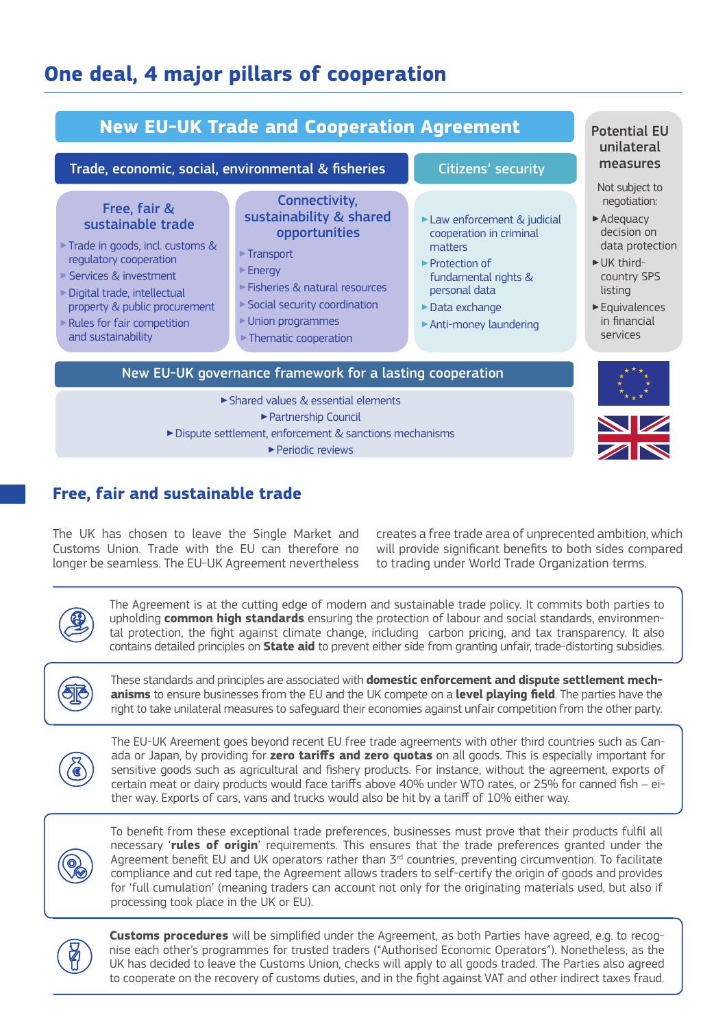## **One deal, 4 major pillars of cooperation**



### **Free, fair and sustainable trade**

The UK has chosen to leave the Single Market and Customs Union. Trade with the EU can therefore no longer be seamless. The EU-UK Agreement nevertheless

creates a free trade area of unprecented ambition, which will provide significant benefits to both sides compared to trading under World Trade Organization terms.



The Agreement is at the cutting edge of modern and sustainable trade policy. It commits both parties to upholding **common high standards** ensuring the protection of labour and social standards, environmental protection, the fight against climate change, including carbon pricing, and tax transparency. It also contains detailed principles on **State aid** to prevent either side from granting unfair, trade-distorting subsidies.



These standards and principles are associated with **domestic enforcement and dispute settlement mechanisms** to ensure businesses from the EU and the UK compete on a **level playing field**. The parties have the right to take unilateral measures to safeguard their economies against unfair competition from the other party.



The EU-UK Areement goes beyond recent EU free trade agreements with other third countries such as Canada or Japan, by providing for **zero tariffs and zero quotas** on all goods. This is especially important for sensitive goods such as agricultural and fishery products. For instance, without the agreement, exports of certain meat or dairy products would face tariffs above 40% under WTO rates, or 25% for canned fish – either way. Exports of cars, vans and trucks would also be hit by a tariff of 10% either way.



To benefit from these exceptional trade preferences, businesses must prove that their products fulfil all necessary '**rules of origin**' requirements. This ensures that the trade preferences granted under the Agreement benefit EU and UK operators rather than  $3<sup>rd</sup>$  countries, preventing circumvention. To facilitate compliance and cut red tape, the Agreement allows traders to self-certify the origin of goods and provides for 'full cumulation' (meaning traders can account not only for the originating materials used, but also if processing took place in the UK or EU).



**Customs procedures** will be simplified under the Agreement, as both Parties have agreed, e.g. to recognise each other's programmes for trusted traders ("Authorised Economic Operators"). Nonetheless, as the UK has decided to leave the Customs Union, checks will apply to all goods traded. The Parties also agreed to cooperate on the recovery of customs duties, and in the fight against VAT and other indirect taxes fraud.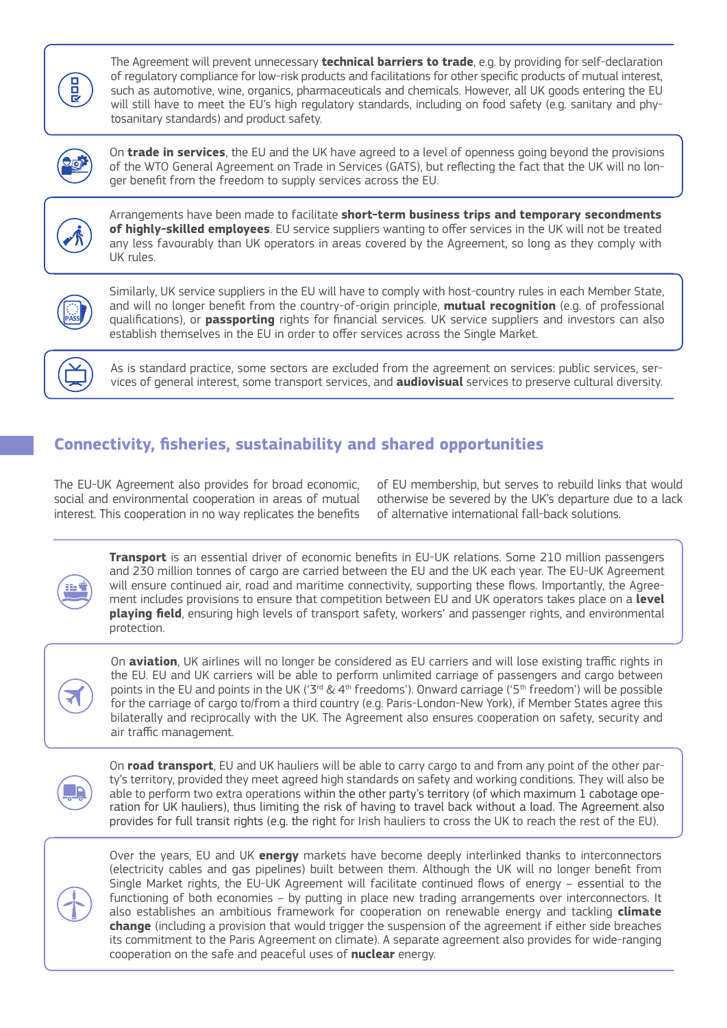**PB** 

The Agreement will prevent unnecessary **technical barriers to trade**, e.g. by providing for self-declaration of regulatory compliance for low-risk products and facilitations for other specific products of mutual interest, such as automotive, wine, organics, pharmaceuticals and chemicals. However, all UK goods entering the EU will still have to meet the EU's high regulatory standards, including on food safety (e.g. sanitary and phytosanitary standards) and product safety.



On **trade in services**, the EU and the UK have agreed to a level of openness going beyond the provisions of the WTO General Agreement on Trade in Services (GATS), but reflecting the fact that the UK will no longer benefit from the freedom to supply services across the EU.



Arrangements have been made to facilitate **short-term business trips and temporary secondments of highly-skilled employees**. EU service suppliers wanting to offer services in the UK will not be treated any less favourably than UK operators in areas covered by the Agreement, so long as they comply with UK rules.



Similarly, UK service suppliers in the EU will have to comply with host-country rules in each Member State, and will no longer benefit from the country-of-origin principle, **mutual recognition** (e.g. of professional qualifications), or **passporting** rights for financial services. UK service suppliers and investors can also establish themselves in the EU in order to offer services across the Single Market.

As is standard practice, some sectors are excluded from the agreement on services: public services, services of general interest, some transport services, and **audiovisual** services to preserve cultural diversity.

### **Connectivity, fisheries, sustainability and shared opportunities**

The EU-UK Agreement also provides for broad economic, social and environmental cooperation in areas of mutual interest. This cooperation in no way replicates the benefits of EU membership, but serves to rebuild links that would otherwise be severed by the UK's departure due to a lack of alternative international fall-back solutions.

**Transport** is an essential driver of economic benefits in EU-UK relations. Some 210 million passengers and 230 million tonnes of cargo are carried between the EU and the UK each year. The EU-UK Agreement will ensure continued air, road and maritime connectivity, supporting these flows. Importantly, the Agreement includes provisions to ensure that competition between EU and UK operators takes place on a **level playing field**, ensuring high levels of transport safety, workers' and passenger rights, and environmental protection.



On **aviation**, UK airlines will no longer be considered as EU carriers and will lose existing traffic rights in the EU. EU and UK carriers will be able to perform unlimited carriage of passengers and cargo between points in the EU and points in the UK ('3<sup>rd</sup> & 4<sup>th</sup> freedoms'). Onward carriage ('5<sup>th</sup> freedom') will be possible for the carriage of cargo to/from a third country (e.g. Paris-London-New York), if Member States agree this bilaterally and reciprocally with the UK. The Agreement also ensures cooperation on safety, security and air traffic management.

On **road transport**, EU and UK hauliers will be able to carry cargo to and from any point of the other party's territory, provided they meet agreed high standards on safety and working conditions. They will also be able to perform two extra operations within the other party's territory (of which maximum 1 cabotage operation for UK hauliers), thus limiting the risk of having to travel back without a load. The Agreement also provides for full transit rights (e.g. the right for Irish hauliers to cross the UK to reach the rest of the EU).



Over the years, EU and UK **energy** markets have become deeply interlinked thanks to interconnectors (electricity cables and gas pipelines) built between them. Although the UK will no longer benefit from Single Market rights, the EU-UK Agreement will facilitate continued flows of energy – essential to the functioning of both economies – by putting in place new trading arrangements over interconnectors. It also establishes an ambitious framework for cooperation on renewable energy and tackling **climate change** (including a provision that would trigger the suspension of the agreement if either side breaches its commitment to the Paris Agreement on climate). A separate agreement also provides for wide-ranging cooperation on the safe and peaceful uses of **nuclear** energy.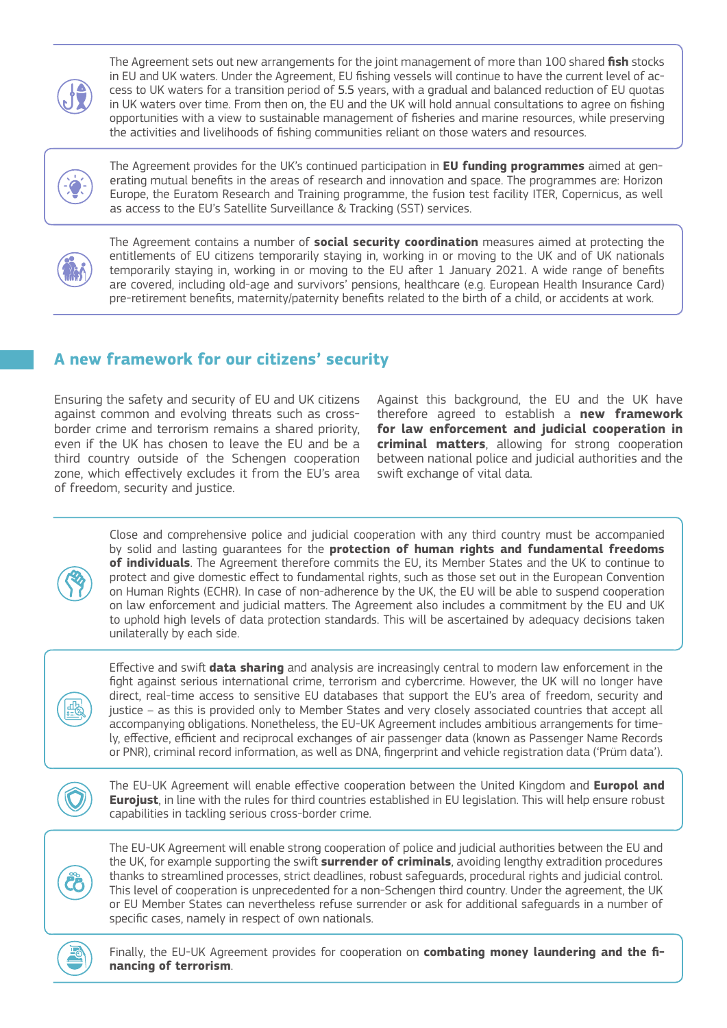

The Agreement sets out new arrangements for the joint management of more than 100 shared **fish** stocks in EU and UK waters. Under the Agreement, EU fishing vessels will continue to have the current level of access to UK waters for a transition period of 5.5 years, with a gradual and balanced reduction of EU quotas in UK waters over time. From then on, the EU and the UK will hold annual consultations to agree on fishing opportunities with a view to sustainable management of fisheries and marine resources, while preserving the activities and livelihoods of fishing communities reliant on those waters and resources.



The Agreement provides for the UK's continued participation in **EU funding programmes** aimed at generating mutual benefits in the areas of research and innovation and space. The programmes are: Horizon Europe, the Euratom Research and Training programme, the fusion test facility ITER, Copernicus, as well as access to the EU's Satellite Surveillance & Tracking (SST) services.



The Agreement contains a number of **social security coordination** measures aimed at protecting the entitlements of EU citizens temporarily staying in, working in or moving to the UK and of UK nationals temporarily staying in, working in or moving to the EU after 1 January 2021. A wide range of benefits are covered, including old-age and survivors' pensions, healthcare (e.g. European Health Insurance Card) pre-retirement benefits, maternity/paternity benefits related to the birth of a child, or accidents at work.

### **A new framework for our citizens' security**

Ensuring the safety and security of EU and UK citizens against common and evolving threats such as crossborder crime and terrorism remains a shared priority, even if the UK has chosen to leave the EU and be a third country outside of the Schengen cooperation zone, which effectively excludes it from the EU's area of freedom, security and justice.

Against this background, the EU and the UK have therefore agreed to establish a **new framework for law enforcement and judicial cooperation in criminal matters**, allowing for strong cooperation between national police and judicial authorities and the swift exchange of vital data.



Close and comprehensive police and judicial cooperation with any third country must be accompanied by solid and lasting guarantees for the **protection of human rights and fundamental freedoms of individuals**. The Agreement therefore commits the EU, its Member States and the UK to continue to protect and give domestic effect to fundamental rights, such as those set out in the European Convention on Human Rights (ECHR). In case of non-adherence by the UK, the EU will be able to suspend cooperation on law enforcement and judicial matters. The Agreement also includes a commitment by the EU and UK to uphold high levels of data protection standards. This will be ascertained by adequacy decisions taken unilaterally by each side.



Effective and swift **data sharing** and analysis are increasingly central to modern law enforcement in the fight against serious international crime, terrorism and cybercrime. However, the UK will no longer have direct, real-time access to sensitive EU databases that support the EU's area of freedom, security and justice – as this is provided only to Member States and very closely associated countries that accept all accompanying obligations. Nonetheless, the EU-UK Agreement includes ambitious arrangements for timely, effective, efficient and reciprocal exchanges of air passenger data (known as Passenger Name Records or PNR), criminal record information, as well as DNA, fingerprint and vehicle registration data ('Prüm data').



The EU-UK Agreement will enable effective cooperation between the United Kingdom and **Europol and Eurojust**, in line with the rules for third countries established in EU legislation. This will help ensure robust capabilities in tackling serious cross-border crime.



The EU-UK Agreement will enable strong cooperation of police and judicial authorities between the EU and the UK, for example supporting the swift **surrender of criminals**, avoiding lengthy extradition procedures thanks to streamlined processes, strict deadlines, robust safeguards, procedural rights and judicial control. This level of cooperation is unprecedented for a non-Schengen third country. Under the agreement, the UK or EU Member States can nevertheless refuse surrender or ask for additional safeguards in a number of specific cases, namely in respect of own nationals.



Finally, the EU-UK Agreement provides for cooperation on **combating money laundering and the financing of terrorism**.